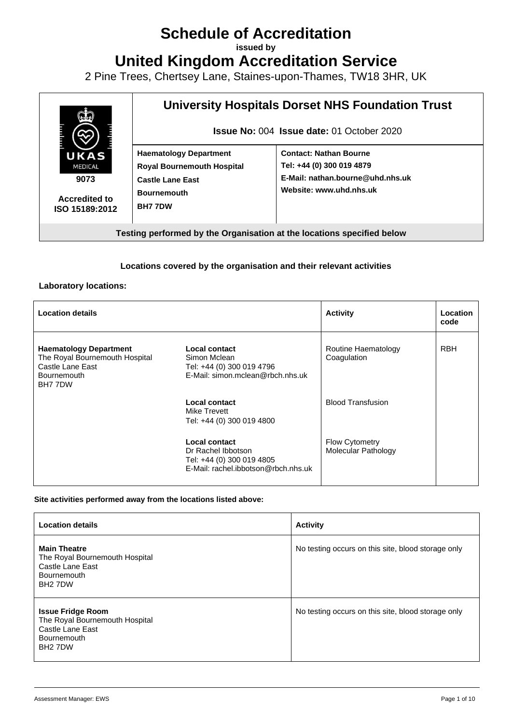# **Schedule of Accreditation**

**issued by**

**United Kingdom Accreditation Service**

2 Pine Trees, Chertsey Lane, Staines-upon-Thames, TW18 3HR, UK



# **Locations covered by the organisation and their relevant activities**

#### **Laboratory locations:**

| <b>Location details</b>                                                                                              |                                                                                                         | <b>Activity</b>                              | Location<br>code |
|----------------------------------------------------------------------------------------------------------------------|---------------------------------------------------------------------------------------------------------|----------------------------------------------|------------------|
| <b>Haematology Department</b><br>The Royal Bournemouth Hospital<br>Castle Lane East<br><b>Bournemouth</b><br>BH777DW | Local contact<br>Simon Mclean<br>Tel: +44 (0) 300 019 4796<br>E-Mail: simon.mclean@rbch.nhs.uk          | Routine Haematology<br>Coagulation           | <b>RBH</b>       |
|                                                                                                                      | Local contact<br>Mike Trevett<br>Tel: +44 (0) 300 019 4800                                              | <b>Blood Transfusion</b>                     |                  |
|                                                                                                                      | Local contact<br>Dr Rachel Ibbotson<br>Tel: +44 (0) 300 019 4805<br>E-Mail: rachel.ibbotson@rbch.nhs.uk | <b>Flow Cytometry</b><br>Molecular Pathology |                  |

#### **Site activities performed away from the locations listed above:**

| <b>Location details</b>                                                                                                     | <b>Activity</b>                                    |
|-----------------------------------------------------------------------------------------------------------------------------|----------------------------------------------------|
| <b>Main Theatre</b><br>The Royal Bournemouth Hospital<br>Castle Lane East<br><b>Bournemouth</b><br>BH <sub>2</sub> 7DW      | No testing occurs on this site, blood storage only |
| <b>Issue Fridge Room</b><br>The Royal Bournemouth Hospital<br>Castle Lane East<br><b>Bournemouth</b><br>BH <sub>2</sub> 7DW | No testing occurs on this site, blood storage only |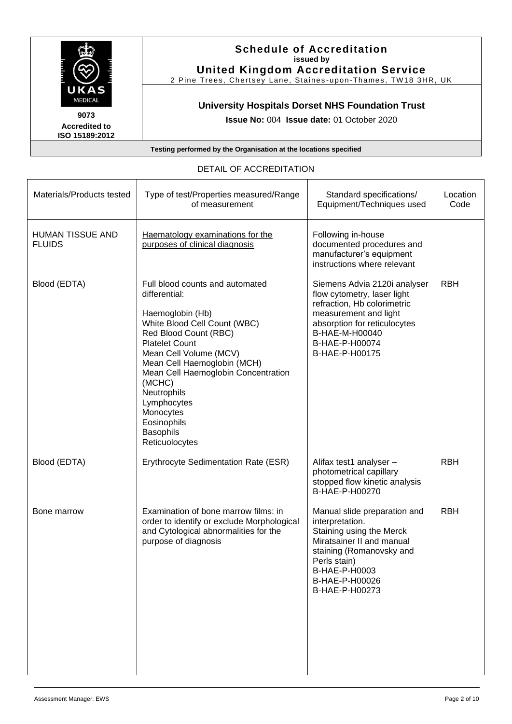

#### **Schedule of Accreditation issued by United Kingdom Accreditation Service**

2 Pine Trees, Chertsey Lane, Staines -upon-Thames, TW18 3HR, UK

# **University Hospitals Dorset NHS Foundation Trust**

**Issue No:** 004 **Issue date:** 01 October 2020

#### **Testing performed by the Organisation at the locations specified**

#### DETAIL OF ACCREDITATION

| Materials/Products tested                | Type of test/Properties measured/Range<br>of measurement                                                                                                                                                                                                                                                                                                         | Standard specifications/<br>Equipment/Techniques used                                                                                                                                                     | Location<br>Code |
|------------------------------------------|------------------------------------------------------------------------------------------------------------------------------------------------------------------------------------------------------------------------------------------------------------------------------------------------------------------------------------------------------------------|-----------------------------------------------------------------------------------------------------------------------------------------------------------------------------------------------------------|------------------|
| <b>HUMAN TISSUE AND</b><br><b>FLUIDS</b> | Haematology examinations for the<br>purposes of clinical diagnosis                                                                                                                                                                                                                                                                                               | Following in-house<br>documented procedures and<br>manufacturer's equipment<br>instructions where relevant                                                                                                |                  |
| Blood (EDTA)                             | Full blood counts and automated<br>differential:<br>Haemoglobin (Hb)<br>White Blood Cell Count (WBC)<br>Red Blood Count (RBC)<br><b>Platelet Count</b><br>Mean Cell Volume (MCV)<br>Mean Cell Haemoglobin (MCH)<br>Mean Cell Haemoglobin Concentration<br>(MCHC)<br>Neutrophils<br>Lymphocytes<br>Monocytes<br>Eosinophils<br><b>Basophils</b><br>Reticuolocytes | Siemens Advia 2120i analyser<br>flow cytometry, laser light<br>refraction, Hb colorimetric<br>measurement and light<br>absorption for reticulocytes<br>B-HAE-M-H00040<br>B-HAE-P-H00074<br>B-HAE-P-H00175 | <b>RBH</b>       |
| Blood (EDTA)                             | Erythrocyte Sedimentation Rate (ESR)                                                                                                                                                                                                                                                                                                                             | Alifax test1 analyser -<br>photometrical capillary<br>stopped flow kinetic analysis<br>B-HAE-P-H00270                                                                                                     | <b>RBH</b>       |
| Bone marrow                              | Examination of bone marrow films: in<br>order to identify or exclude Morphological<br>and Cytological abnormalities for the<br>purpose of diagnosis                                                                                                                                                                                                              | Manual slide preparation and<br>interpretation.<br>Staining using the Merck<br>Miratsainer II and manual<br>staining (Romanovsky and<br>Perls stain)<br>B-HAE-P-H0003<br>B-HAE-P-H00026<br>B-HAE-P-H00273 | <b>RBH</b>       |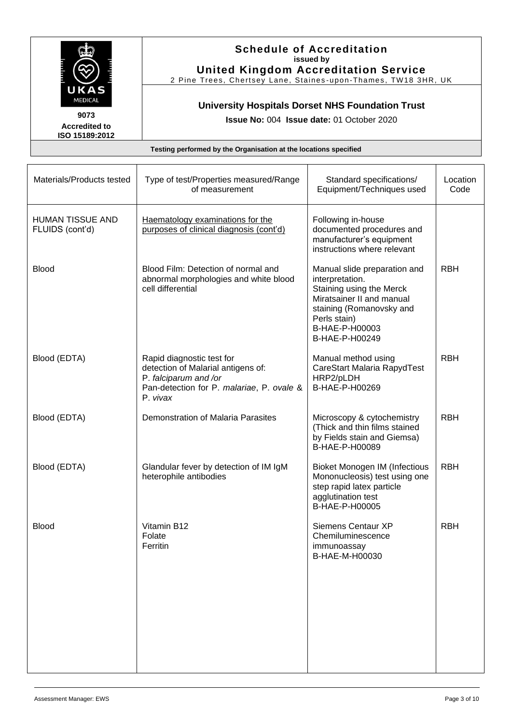| <b>The Property</b><br>E<br>UKAS<br><b>MEDICAL</b> |  |
|----------------------------------------------------|--|
| 9073                                               |  |

## **Schedule of Accreditation issued by United Kingdom Accreditation Service**

2 Pine Trees, Chertsey Lane, Staines -upon-Thames, TW18 3HR, UK

# **University Hospitals Dorset NHS Foundation Trust**

**Issue No:** 004 **Issue date:** 01 October 2020

| Materials/Products tested                  | Type of test/Properties measured/Range<br>of measurement                                                                                          | Standard specifications/<br>Equipment/Techniques used                                                                                                                                    | Location<br>Code |
|--------------------------------------------|---------------------------------------------------------------------------------------------------------------------------------------------------|------------------------------------------------------------------------------------------------------------------------------------------------------------------------------------------|------------------|
| <b>HUMAN TISSUE AND</b><br>FLUIDS (cont'd) | Haematology examinations for the<br>purposes of clinical diagnosis (cont'd)                                                                       | Following in-house<br>documented procedures and<br>manufacturer's equipment<br>instructions where relevant                                                                               |                  |
| <b>Blood</b>                               | Blood Film: Detection of normal and<br>abnormal morphologies and white blood<br>cell differential                                                 | Manual slide preparation and<br>interpretation.<br>Staining using the Merck<br>Miratsainer II and manual<br>staining (Romanovsky and<br>Perls stain)<br>B-HAE-P-H00003<br>B-HAE-P-H00249 | <b>RBH</b>       |
| Blood (EDTA)                               | Rapid diagnostic test for<br>detection of Malarial antigens of:<br>P. falciparum and /or<br>Pan-detection for P. malariae, P. ovale &<br>P. vivax | Manual method using<br>CareStart Malaria RapydTest<br>HRP2/pLDH<br>B-HAE-P-H00269                                                                                                        | <b>RBH</b>       |
| Blood (EDTA)                               | <b>Demonstration of Malaria Parasites</b>                                                                                                         | Microscopy & cytochemistry<br>(Thick and thin films stained<br>by Fields stain and Giemsa)<br>B-HAE-P-H00089                                                                             | <b>RBH</b>       |
| Blood (EDTA)                               | Glandular fever by detection of IM IgM<br>heterophile antibodies                                                                                  | Bioket Monogen IM (Infectious<br>Mononucleosis) test using one<br>step rapid latex particle<br>agglutination test<br>B-HAE-P-H00005                                                      | <b>RBH</b>       |
| <b>Blood</b>                               | Vitamin B12<br>Folate<br>Ferritin                                                                                                                 | Siemens Centaur XP<br>Chemiluminescence<br>immunoassay<br>B-HAE-M-H00030                                                                                                                 | <b>RBH</b>       |
|                                            |                                                                                                                                                   |                                                                                                                                                                                          |                  |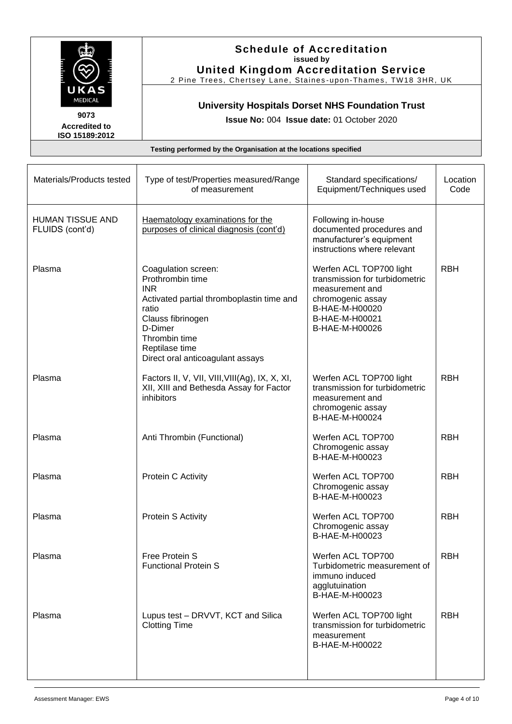| an mars and | К<br><b>MEDICAL</b> | E |
|-------------|---------------------|---|
|             | 9073                |   |

#### **Schedule of Accreditation issued by United Kingdom Accreditation Service**

2 Pine Trees, Chertsey Lane, Staines -upon-Thames, TW18 3HR, UK

# **University Hospitals Dorset NHS Foundation Trust**

**Issue No:** 004 **Issue date:** 01 October 2020

| Materials/Products tested                  | Type of test/Properties measured/Range<br>of measurement                                                                                                                                                           | Standard specifications/<br>Equipment/Techniques used                                                                                                   | Location<br>Code |
|--------------------------------------------|--------------------------------------------------------------------------------------------------------------------------------------------------------------------------------------------------------------------|---------------------------------------------------------------------------------------------------------------------------------------------------------|------------------|
| <b>HUMAN TISSUE AND</b><br>FLUIDS (cont'd) | Haematology examinations for the<br>purposes of clinical diagnosis (cont'd)                                                                                                                                        | Following in-house<br>documented procedures and<br>manufacturer's equipment<br>instructions where relevant                                              |                  |
| Plasma                                     | Coagulation screen:<br>Prothrombin time<br><b>INR</b><br>Activated partial thromboplastin time and<br>ratio<br>Clauss fibrinogen<br>D-Dimer<br>Thrombin time<br>Reptilase time<br>Direct oral anticoagulant assays | Werfen ACL TOP700 light<br>transmission for turbidometric<br>measurement and<br>chromogenic assay<br>B-HAE-M-H00020<br>B-HAE-M-H00021<br>B-HAE-M-H00026 | <b>RBH</b>       |
| Plasma                                     | Factors II, V, VII, VIII, VIII(Ag), IX, X, XI,<br>XII, XIII and Bethesda Assay for Factor<br>inhibitors                                                                                                            | Werfen ACL TOP700 light<br>transmission for turbidometric<br>measurement and<br>chromogenic assay<br>B-HAE-M-H00024                                     | <b>RBH</b>       |
| Plasma                                     | Anti Thrombin (Functional)                                                                                                                                                                                         | Werfen ACL TOP700<br>Chromogenic assay<br>B-HAE-M-H00023                                                                                                | <b>RBH</b>       |
| Plasma                                     | Protein C Activity                                                                                                                                                                                                 | Werfen ACL TOP700<br>Chromogenic assay<br>B-HAE-M-H00023                                                                                                | <b>RBH</b>       |
| Plasma                                     | Protein S Activity                                                                                                                                                                                                 | Werfen ACL TOP700<br>Chromogenic assay<br>B-HAE-M-H00023                                                                                                | <b>RBH</b>       |
| Plasma                                     | Free Protein S<br><b>Functional Protein S</b>                                                                                                                                                                      | Werfen ACL TOP700<br>Turbidometric measurement of<br>immuno induced<br>agglutuination<br>B-HAE-M-H00023                                                 | <b>RBH</b>       |
| Plasma                                     | Lupus test - DRVVT, KCT and Silica<br><b>Clotting Time</b>                                                                                                                                                         | Werfen ACL TOP700 light<br>transmission for turbidometric<br>measurement<br>B-HAE-M-H00022                                                              | <b>RBH</b>       |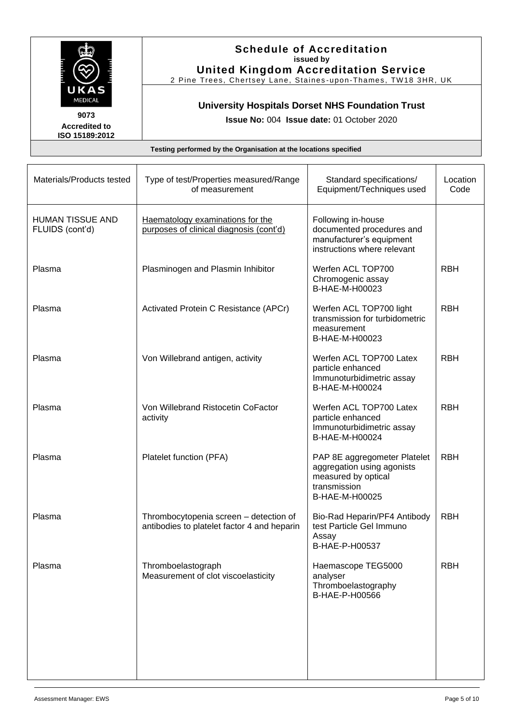| <b>The Second Second Second</b><br>K7<br>MEDICAL | E |
|--------------------------------------------------|---|
| 9073                                             |   |

## **Schedule of Accreditation issued by United Kingdom Accreditation Service**

2 Pine Trees, Chertsey Lane, Staines -upon-Thames, TW18 3HR, UK

# **University Hospitals Dorset NHS Foundation Trust**

**Issue No:** 004 **Issue date:** 01 October 2020

| Materials/Products tested                  | Type of test/Properties measured/Range<br>of measurement                              | Standard specifications/<br>Equipment/Techniques used                                                               | Location<br>Code |
|--------------------------------------------|---------------------------------------------------------------------------------------|---------------------------------------------------------------------------------------------------------------------|------------------|
| <b>HUMAN TISSUE AND</b><br>FLUIDS (cont'd) | Haematology examinations for the<br>purposes of clinical diagnosis (cont'd)           | Following in-house<br>documented procedures and<br>manufacturer's equipment<br>instructions where relevant          |                  |
| Plasma                                     | Plasminogen and Plasmin Inhibitor                                                     | Werfen ACL TOP700<br>Chromogenic assay<br>B-HAE-M-H00023                                                            | <b>RBH</b>       |
| Plasma                                     | Activated Protein C Resistance (APCr)                                                 | Werfen ACL TOP700 light<br>transmission for turbidometric<br>measurement<br>B-HAE-M-H00023                          | <b>RBH</b>       |
| Plasma                                     | Von Willebrand antigen, activity                                                      | Werfen ACL TOP700 Latex<br>particle enhanced<br>Immunoturbidimetric assay<br>B-HAE-M-H00024                         | <b>RBH</b>       |
| Plasma                                     | Von Willebrand Ristocetin CoFactor<br>activity                                        | Werfen ACL TOP700 Latex<br>particle enhanced<br>Immunoturbidimetric assay<br>B-HAE-M-H00024                         | <b>RBH</b>       |
| Plasma                                     | Platelet function (PFA)                                                               | PAP 8E aggregometer Platelet<br>aggregation using agonists<br>measured by optical<br>transmission<br>B-HAE-M-H00025 | <b>RBH</b>       |
| Plasma                                     | Thrombocytopenia screen - detection of<br>antibodies to platelet factor 4 and heparin | Bio-Rad Heparin/PF4 Antibody<br>test Particle Gel Immuno<br>Assay<br>B-HAE-P-H00537                                 | <b>RBH</b>       |
| Plasma                                     | Thromboelastograph<br>Measurement of clot viscoelasticity                             | Haemascope TEG5000<br>analyser<br>Thromboelastography<br>B-HAE-P-H00566                                             | <b>RBH</b>       |
|                                            |                                                                                       |                                                                                                                     |                  |
|                                            |                                                                                       |                                                                                                                     |                  |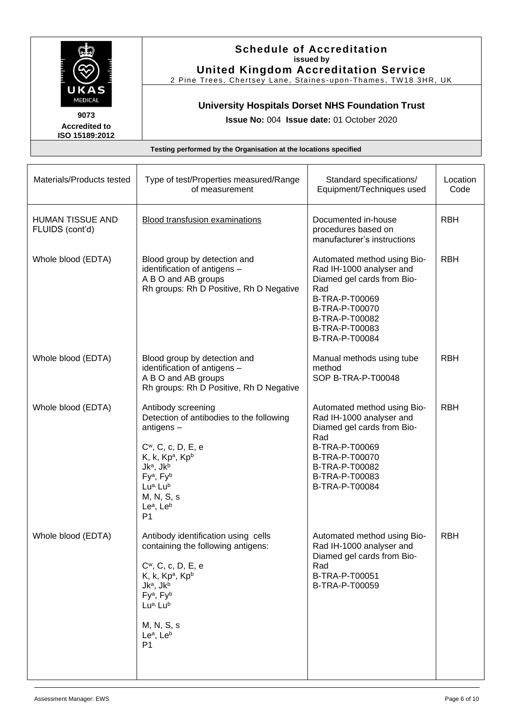

## **Schedule of Accreditation issued by United Kingdom Accreditation Service**

2 Pine Trees, Chertsey Lane, Staines -upon-Thames, TW18 3HR, UK

# **University Hospitals Dorset NHS Foundation Trust**

**Issue No:** 004 **Issue date:** 01 October 2020

| Materials/Products tested                  | Type of test/Properties measured/Range<br>of measurement                                                                                                                                                                                                                                                 | Standard specifications/<br>Equipment/Techniques used                                                                                                                                  | Location<br>Code |
|--------------------------------------------|----------------------------------------------------------------------------------------------------------------------------------------------------------------------------------------------------------------------------------------------------------------------------------------------------------|----------------------------------------------------------------------------------------------------------------------------------------------------------------------------------------|------------------|
| <b>HUMAN TISSUE AND</b><br>FLUIDS (cont'd) | <b>Blood transfusion examinations</b>                                                                                                                                                                                                                                                                    | Documented in-house<br>procedures based on<br>manufacturer's instructions                                                                                                              | <b>RBH</b>       |
| Whole blood (EDTA)                         | Blood group by detection and<br>identification of antigens -<br>A B O and AB groups<br>Rh groups: Rh D Positive, Rh D Negative                                                                                                                                                                           | Automated method using Bio-<br>Rad IH-1000 analyser and<br>Diamed gel cards from Bio-<br>Rad<br>B-TRA-P-T00069<br>B-TRA-P-T00070<br>B-TRA-P-T00082<br>B-TRA-P-T00083<br>B-TRA-P-T00084 | <b>RBH</b>       |
| Whole blood (EDTA)                         | Blood group by detection and<br>identification of antigens -<br>A B O and AB groups<br>Rh groups: Rh D Positive, Rh D Negative                                                                                                                                                                           | Manual methods using tube<br>method<br>SOP B-TRA-P-T00048                                                                                                                              | <b>RBH</b>       |
| Whole blood (EDTA)                         | Antibody screening<br>Detection of antibodies to the following<br>antigens-<br>C <sup>w</sup> , C, c, D, E, e<br>K, k, Kp <sup>a</sup> , Kp <sup>b</sup><br>Jk <sup>a</sup> , Jk <sup>b</sup><br>Fy <sup>a</sup> , Fy <sup>b</sup><br>Lua, Lub<br>M, N, S, s<br>Le <sup>a</sup> , Le <sup>b</sup><br>P1  | Automated method using Bio-<br>Rad IH-1000 analyser and<br>Diamed gel cards from Bio-<br>Rad<br>B-TRA-P-T00069<br>B-TRA-P-T00070<br>B-TRA-P-T00082<br>B-TRA-P-T00083<br>B-TRA-P-T00084 | <b>RBH</b>       |
| Whole blood (EDTA)                         | Antibody identification using cells<br>containing the following antigens:<br>$C^w$ , C, c, D, E, e<br>K, k, Kp <sup>a</sup> , Kp <sup>b</sup><br>Jk <sup>a</sup> , Jk <sup>b</sup><br>Fy <sup>a</sup> , Fy <sup>b</sup><br>Lua, Lub<br>M, N, S, s<br>Le <sup>a</sup> , Le <sup>b</sup><br>P <sub>1</sub> | Automated method using Bio-<br>Rad IH-1000 analyser and<br>Diamed gel cards from Bio-<br>Rad<br>B-TRA-P-T00051<br>B-TRA-P-T00059                                                       | <b>RBH</b>       |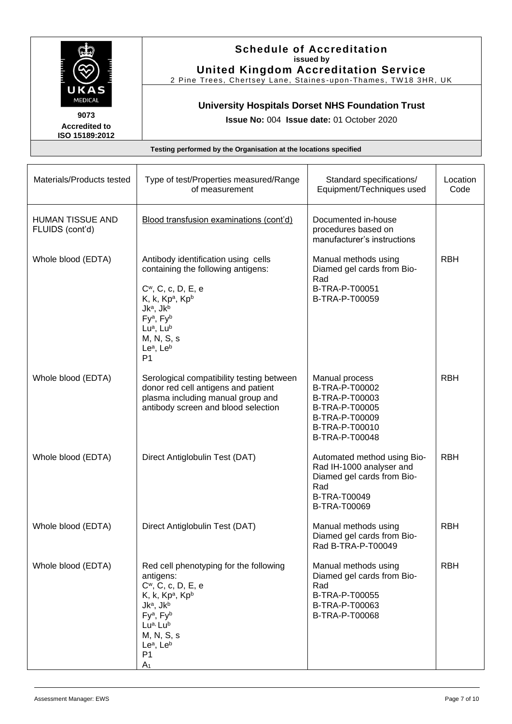| <b>The Colombia</b><br>E<br>K7<br>MEDICAL |
|-------------------------------------------|
| 9073                                      |

## **Schedule of Accreditation issued by United Kingdom Accreditation Service**

2 Pine Trees, Chertsey Lane, Staines -upon-Thames, TW18 3HR, UK

# **University Hospitals Dorset NHS Foundation Trust**

**Issue No:** 004 **Issue date:** 01 October 2020

| Materials/Products tested                  | Type of test/Properties measured/Range<br>of measurement                                                                                                                                                                                                                                                                                   | Standard specifications/<br>Equipment/Techniques used                                                                        | Location<br>Code |
|--------------------------------------------|--------------------------------------------------------------------------------------------------------------------------------------------------------------------------------------------------------------------------------------------------------------------------------------------------------------------------------------------|------------------------------------------------------------------------------------------------------------------------------|------------------|
| <b>HUMAN TISSUE AND</b><br>FLUIDS (cont'd) | Blood transfusion examinations (cont'd)                                                                                                                                                                                                                                                                                                    | Documented in-house<br>procedures based on<br>manufacturer's instructions                                                    |                  |
| Whole blood (EDTA)                         | Antibody identification using cells<br>containing the following antigens:<br>C <sup>w</sup> , C, c, D, E, e<br>K, k, Kp <sup>a</sup> , Kp <sup>b</sup><br>Jk <sup>a</sup> , Jk <sup>b</sup><br>Fy <sup>a</sup> , Fy <sup>b</sup><br>Lu <sup>a</sup> , Lu <sup>b</sup><br>M, N, S, s<br>Le <sup>a</sup> , Le <sup>b</sup><br>P <sub>1</sub> | Manual methods using<br>Diamed gel cards from Bio-<br>Rad<br>B-TRA-P-T00051<br>B-TRA-P-T00059                                | <b>RBH</b>       |
| Whole blood (EDTA)                         | Serological compatibility testing between<br>donor red cell antigens and patient<br>plasma including manual group and<br>antibody screen and blood selection                                                                                                                                                                               | Manual process<br>B-TRA-P-T00002<br>B-TRA-P-T00003<br>B-TRA-P-T00005<br>B-TRA-P-T00009<br>B-TRA-P-T00010<br>B-TRA-P-T00048   | <b>RBH</b>       |
| Whole blood (EDTA)                         | Direct Antiglobulin Test (DAT)                                                                                                                                                                                                                                                                                                             | Automated method using Bio-<br>Rad IH-1000 analyser and<br>Diamed gel cards from Bio-<br>Rad<br>B-TRA-T00049<br>B-TRA-T00069 | <b>RBH</b>       |
| Whole blood (EDTA)                         | Direct Antiglobulin Test (DAT)                                                                                                                                                                                                                                                                                                             | Manual methods using<br>Diamed gel cards from Bio-<br>Rad B-TRA-P-T00049                                                     | <b>RBH</b>       |
| Whole blood (EDTA)                         | Red cell phenotyping for the following<br>antigens:<br>C <sup>w</sup> , C, c, D, E, e<br>K, k, Kp <sup>a</sup> , Kp <sup>b</sup><br>Jk <sup>a</sup> , Jk <sup>b</sup><br>Fy <sup>a</sup> , Fy <sup>b</sup><br>Lua, Lub<br>M, N, S, s<br>Le <sup>a</sup> , Le <sup>b</sup><br>P <sub>1</sub><br>A <sub>1</sub>                              | Manual methods using<br>Diamed gel cards from Bio-<br>Rad<br>B-TRA-P-T00055<br>B-TRA-P-T00063<br>B-TRA-P-T00068              | <b>RBH</b>       |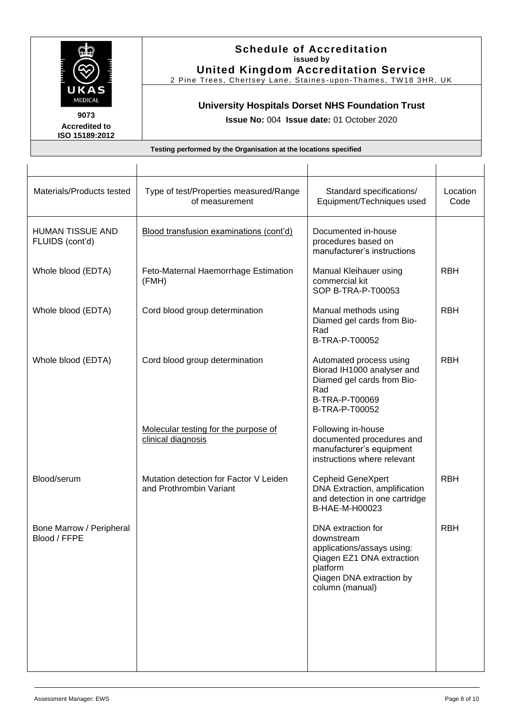

#### **Schedule of Accreditation issued by United Kingdom Accreditation Service**

2 Pine Trees, Chertsey Lane, Staines -upon-Thames, TW18 3HR, UK

# **University Hospitals Dorset NHS Foundation Trust**

**Issue No:** 004 **Issue date:** 01 October 2020

| Materials/Products tested                  | Type of test/Properties measured/Range<br>of measurement          | Standard specifications/<br>Equipment/Techniques used                                                                                                  | Location<br>Code |
|--------------------------------------------|-------------------------------------------------------------------|--------------------------------------------------------------------------------------------------------------------------------------------------------|------------------|
| <b>HUMAN TISSUE AND</b><br>FLUIDS (cont'd) | Blood transfusion examinations (cont'd)                           | Documented in-house<br>procedures based on<br>manufacturer's instructions                                                                              |                  |
| Whole blood (EDTA)                         | Feto-Maternal Haemorrhage Estimation<br>(FMH)                     | Manual Kleihauer using<br>commercial kit<br>SOP B-TRA-P-T00053                                                                                         | <b>RBH</b>       |
| Whole blood (EDTA)                         | Cord blood group determination                                    | Manual methods using<br>Diamed gel cards from Bio-<br>Rad<br>B-TRA-P-T00052                                                                            | <b>RBH</b>       |
| Whole blood (EDTA)                         | Cord blood group determination                                    | Automated process using<br>Biorad IH1000 analyser and<br>Diamed gel cards from Bio-<br>Rad<br>B-TRA-P-T00069<br>B-TRA-P-T00052                         | <b>RBH</b>       |
|                                            | Molecular testing for the purpose of<br>clinical diagnosis        | Following in-house<br>documented procedures and<br>manufacturer's equipment<br>instructions where relevant                                             |                  |
| Blood/serum                                | Mutation detection for Factor V Leiden<br>and Prothrombin Variant | Cepheid GeneXpert<br>DNA Extraction, amplification<br>and detection in one cartridge<br>B-HAE-M-H00023                                                 | <b>RBH</b>       |
| Bone Marrow / Peripheral<br>Blood / FFPE   |                                                                   | DNA extraction for<br>downstream<br>applications/assays using:<br>Qiagen EZ1 DNA extraction<br>platform<br>Qiagen DNA extraction by<br>column (manual) | <b>RBH</b>       |
|                                            |                                                                   |                                                                                                                                                        |                  |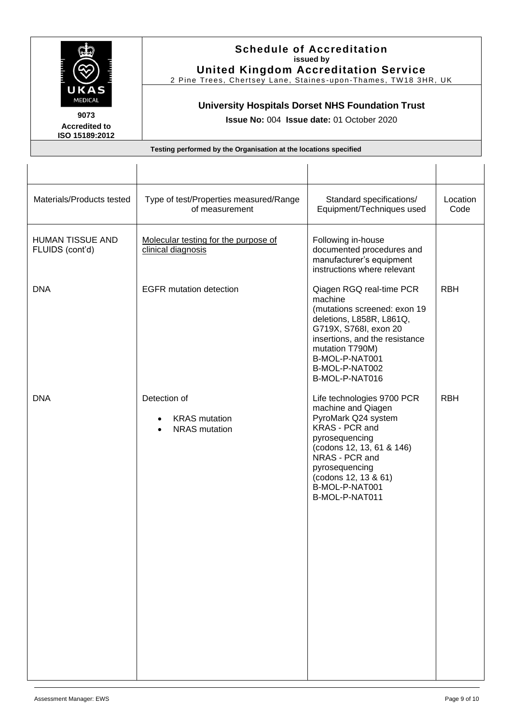| UKAS<br><b>MEDICAL</b><br>9073<br><b>Accredited to</b><br>ISO 15189:2012 | <b>Schedule of Accreditation</b><br>issued by<br><b>United Kingdom Accreditation Service</b><br>2 Pine Trees, Chertsey Lane, Staines-upon-Thames, TW18 3HR, UK |  |
|--------------------------------------------------------------------------|----------------------------------------------------------------------------------------------------------------------------------------------------------------|--|
|                                                                          | <b>University Hospitals Dorset NHS Foundation Trust</b><br><b>Issue No: 004 Issue date: 01 October 2020</b>                                                    |  |
| Testing performed by the Organisation at the locations specified         |                                                                                                                                                                |  |

| Materials/Products tested                  | Type of test/Properties measured/Range<br>of measurement     | Standard specifications/<br>Equipment/Techniques used                                                                                                                                                                                    | Location<br>Code |
|--------------------------------------------|--------------------------------------------------------------|------------------------------------------------------------------------------------------------------------------------------------------------------------------------------------------------------------------------------------------|------------------|
| <b>HUMAN TISSUE AND</b><br>FLUIDS (cont'd) | Molecular testing for the purpose of<br>clinical diagnosis   | Following in-house<br>documented procedures and<br>manufacturer's equipment<br>instructions where relevant                                                                                                                               |                  |
| <b>DNA</b>                                 | <b>EGFR</b> mutation detection                               | Qiagen RGQ real-time PCR<br>machine<br>(mutations screened: exon 19<br>deletions, L858R, L861Q,<br>G719X, S768I, exon 20<br>insertions, and the resistance<br>mutation T790M)<br>B-MOL-P-NAT001<br>B-MOL-P-NAT002<br>B-MOL-P-NAT016      | <b>RBH</b>       |
| <b>DNA</b>                                 | Detection of<br><b>KRAS</b> mutation<br><b>NRAS</b> mutation | Life technologies 9700 PCR<br>machine and Qiagen<br>PyroMark Q24 system<br>KRAS - PCR and<br>pyrosequencing<br>(codons 12, 13, 61 & 146)<br>NRAS - PCR and<br>pyrosequencing<br>(codons 12, 13 & 61)<br>B-MOL-P-NAT001<br>B-MOL-P-NAT011 | <b>RBH</b>       |